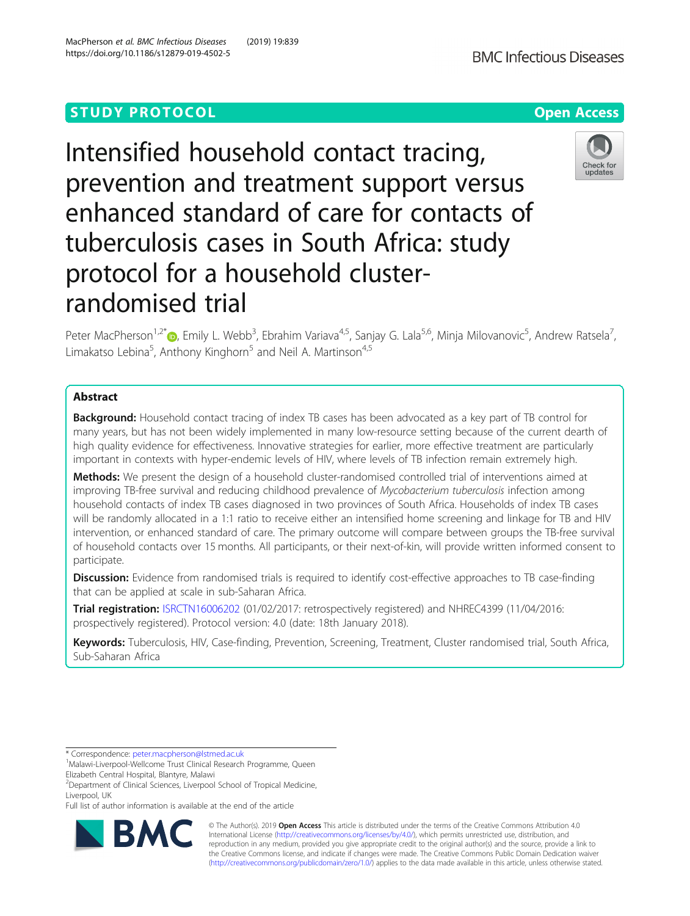# **STUDY PROTOCOL CONSUMING THE RESERVE ACCESS**

Intensified household contact tracing, prevention and treatment support versus enhanced standard of care for contacts of tuberculosis cases in South Africa: study protocol for a household clusterrandomised trial

Peter MacPherson<sup>1,2[\\*](http://orcid.org/0000-0002-0329-9613)</sup>®, Emily L. Webb<sup>3</sup>, Ebrahim Variava<sup>4,5</sup>, Sanjay G. Lala<sup>5,6</sup>, Minja Milovanovic<sup>5</sup>, Andrew Ratsela<sup>7</sup> , Limakatso Lebina<sup>5</sup>, Anthony Kinghorn<sup>5</sup> and Neil A. Martinson<sup>4,5</sup>

# Abstract

**Background:** Household contact tracing of index TB cases has been advocated as a key part of TB control for many years, but has not been widely implemented in many low-resource setting because of the current dearth of high quality evidence for effectiveness. Innovative strategies for earlier, more effective treatment are particularly important in contexts with hyper-endemic levels of HIV, where levels of TB infection remain extremely high.

**Methods:** We present the design of a household cluster-randomised controlled trial of interventions aimed at improving TB-free survival and reducing childhood prevalence of Mycobacterium tuberculosis infection among household contacts of index TB cases diagnosed in two provinces of South Africa. Households of index TB cases will be randomly allocated in a 1:1 ratio to receive either an intensified home screening and linkage for TB and HIV intervention, or enhanced standard of care. The primary outcome will compare between groups the TB-free survival of household contacts over 15 months. All participants, or their next-of-kin, will provide written informed consent to participate.

Discussion: Evidence from randomised trials is required to identify cost-effective approaches to TB case-finding that can be applied at scale in sub-Saharan Africa.

Trial registration: [ISRCTN16006202](https://doi.org/10.1186/ISRCTN16006202) (01/02/2017: retrospectively registered) and NHREC4399 (11/04/2016: prospectively registered). Protocol version: 4.0 (date: 18th January 2018).

Keywords: Tuberculosis, HIV, Case-finding, Prevention, Screening, Treatment, Cluster randomised trial, South Africa, Sub-Saharan Africa

\* Correspondence: [peter.macpherson@lstmed.ac.uk](mailto:peter.macpherson@lstmed.ac.uk) <sup>1</sup>

<sup>2</sup> Department of Clinical Sciences, Liverpool School of Tropical Medicine, Liverpool, UK

Full list of author information is available at the end of the article







<sup>&</sup>lt;sup>1</sup>Malawi-Liverpool-Wellcome Trust Clinical Research Programme, Queen Elizabeth Central Hospital, Blantyre, Malawi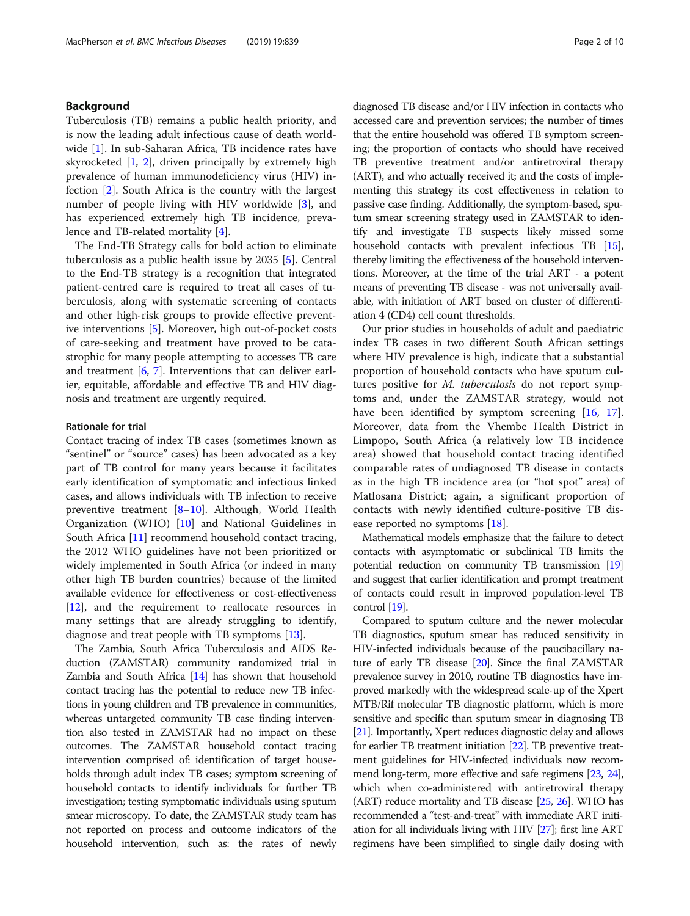# Background

Tuberculosis (TB) remains a public health priority, and is now the leading adult infectious cause of death world-wide [\[1](#page-8-0)]. In sub-Saharan Africa, TB incidence rates have skyrocketed [\[1](#page-8-0), [2](#page-8-0)], driven principally by extremely high prevalence of human immunodeficiency virus (HIV) infection [[2\]](#page-8-0). South Africa is the country with the largest number of people living with HIV worldwide [[3](#page-8-0)], and has experienced extremely high TB incidence, prevalence and TB-related mortality [[4\]](#page-8-0).

The End-TB Strategy calls for bold action to eliminate tuberculosis as a public health issue by 2035 [[5\]](#page-8-0). Central to the End-TB strategy is a recognition that integrated patient-centred care is required to treat all cases of tuberculosis, along with systematic screening of contacts and other high-risk groups to provide effective preventive interventions [\[5](#page-8-0)]. Moreover, high out-of-pocket costs of care-seeking and treatment have proved to be catastrophic for many people attempting to accesses TB care and treatment [[6,](#page-8-0) [7](#page-8-0)]. Interventions that can deliver earlier, equitable, affordable and effective TB and HIV diagnosis and treatment are urgently required.

#### Rationale for trial

Contact tracing of index TB cases (sometimes known as "sentinel" or "source" cases) has been advocated as a key part of TB control for many years because it facilitates early identification of symptomatic and infectious linked cases, and allows individuals with TB infection to receive preventive treatment [\[8](#page-8-0)–[10\]](#page-8-0). Although, World Health Organization (WHO) [\[10\]](#page-8-0) and National Guidelines in South Africa [\[11](#page-8-0)] recommend household contact tracing, the 2012 WHO guidelines have not been prioritized or widely implemented in South Africa (or indeed in many other high TB burden countries) because of the limited available evidence for effectiveness or cost-effectiveness [[12\]](#page-8-0), and the requirement to reallocate resources in many settings that are already struggling to identify, diagnose and treat people with TB symptoms [[13\]](#page-8-0).

The Zambia, South Africa Tuberculosis and AIDS Reduction (ZAMSTAR) community randomized trial in Zambia and South Africa [\[14\]](#page-8-0) has shown that household contact tracing has the potential to reduce new TB infections in young children and TB prevalence in communities, whereas untargeted community TB case finding intervention also tested in ZAMSTAR had no impact on these outcomes. The ZAMSTAR household contact tracing intervention comprised of: identification of target households through adult index TB cases; symptom screening of household contacts to identify individuals for further TB investigation; testing symptomatic individuals using sputum smear microscopy. To date, the ZAMSTAR study team has not reported on process and outcome indicators of the household intervention, such as: the rates of newly

diagnosed TB disease and/or HIV infection in contacts who accessed care and prevention services; the number of times that the entire household was offered TB symptom screening; the proportion of contacts who should have received TB preventive treatment and/or antiretroviral therapy (ART), and who actually received it; and the costs of implementing this strategy its cost effectiveness in relation to passive case finding. Additionally, the symptom-based, sputum smear screening strategy used in ZAMSTAR to identify and investigate TB suspects likely missed some household contacts with prevalent infectious TB [\[15](#page-8-0)], thereby limiting the effectiveness of the household interventions. Moreover, at the time of the trial ART - a potent means of preventing TB disease - was not universally available, with initiation of ART based on cluster of differentiation 4 (CD4) cell count thresholds.

Our prior studies in households of adult and paediatric index TB cases in two different South African settings where HIV prevalence is high, indicate that a substantial proportion of household contacts who have sputum cultures positive for M. tuberculosis do not report symptoms and, under the ZAMSTAR strategy, would not have been identified by symptom screening [[16](#page-8-0), [17](#page-8-0)]. Moreover, data from the Vhembe Health District in Limpopo, South Africa (a relatively low TB incidence area) showed that household contact tracing identified comparable rates of undiagnosed TB disease in contacts as in the high TB incidence area (or "hot spot" area) of Matlosana District; again, a significant proportion of contacts with newly identified culture-positive TB disease reported no symptoms [[18\]](#page-8-0).

Mathematical models emphasize that the failure to detect contacts with asymptomatic or subclinical TB limits the potential reduction on community TB transmission [\[19](#page-8-0)] and suggest that earlier identification and prompt treatment of contacts could result in improved population-level TB control [\[19](#page-8-0)].

Compared to sputum culture and the newer molecular TB diagnostics, sputum smear has reduced sensitivity in HIV-infected individuals because of the paucibacillary nature of early TB disease [\[20](#page-8-0)]. Since the final ZAMSTAR prevalence survey in 2010, routine TB diagnostics have improved markedly with the widespread scale-up of the Xpert MTB/Rif molecular TB diagnostic platform, which is more sensitive and specific than sputum smear in diagnosing TB [[21](#page-8-0)]. Importantly, Xpert reduces diagnostic delay and allows for earlier TB treatment initiation [\[22\]](#page-8-0). TB preventive treatment guidelines for HIV-infected individuals now recommend long-term, more effective and safe regimens [[23](#page-8-0), [24](#page-8-0)], which when co-administered with antiretroviral therapy (ART) reduce mortality and TB disease [\[25,](#page-8-0) [26\]](#page-8-0). WHO has recommended a "test-and-treat" with immediate ART initiation for all individuals living with HIV [\[27\]](#page-8-0); first line ART regimens have been simplified to single daily dosing with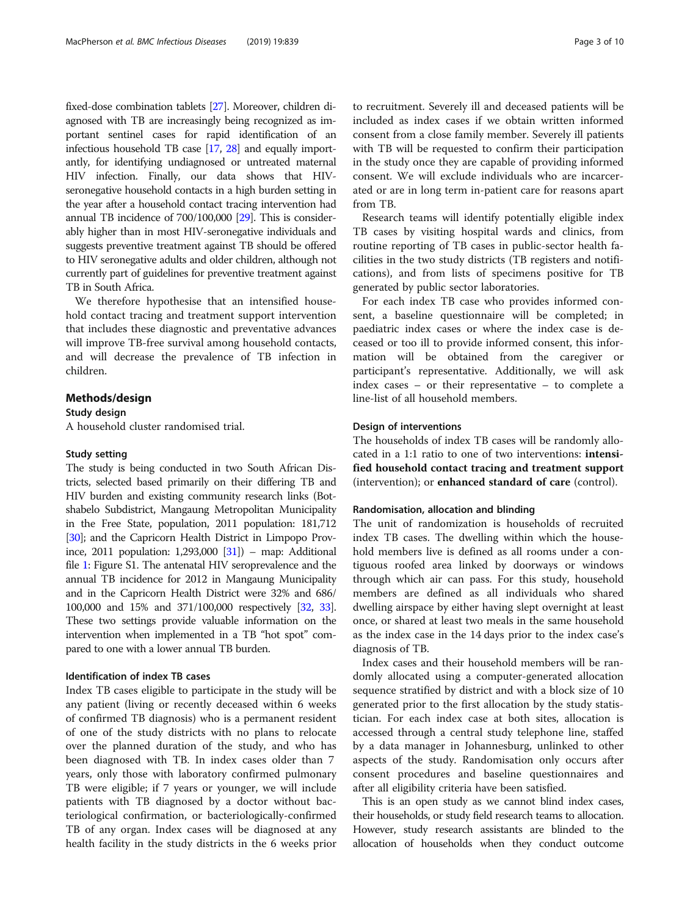fixed-dose combination tablets [[27\]](#page-8-0). Moreover, children diagnosed with TB are increasingly being recognized as important sentinel cases for rapid identification of an infectious household TB case [\[17,](#page-8-0) [28\]](#page-8-0) and equally importantly, for identifying undiagnosed or untreated maternal HIV infection. Finally, our data shows that HIVseronegative household contacts in a high burden setting in the year after a household contact tracing intervention had annual TB incidence of 700/100,000 [[29\]](#page-8-0). This is considerably higher than in most HIV-seronegative individuals and suggests preventive treatment against TB should be offered to HIV seronegative adults and older children, although not currently part of guidelines for preventive treatment against TB in South Africa.

We therefore hypothesise that an intensified household contact tracing and treatment support intervention that includes these diagnostic and preventative advances will improve TB-free survival among household contacts, and will decrease the prevalence of TB infection in children.

#### Methods/design

# Study design

A household cluster randomised trial.

# Study setting

The study is being conducted in two South African Districts, selected based primarily on their differing TB and HIV burden and existing community research links (Botshabelo Subdistrict, Mangaung Metropolitan Municipality in the Free State, population, 2011 population: 181,712 [[30](#page-8-0)]; and the Capricorn Health District in Limpopo Province, 2011 population:  $1,293,000$  [\[31\]](#page-8-0)) – map: Additional file [1:](#page-7-0) Figure S1. The antenatal HIV seroprevalence and the annual TB incidence for 2012 in Mangaung Municipality and in the Capricorn Health District were 32% and 686/ 100,000 and 15% and 371/100,000 respectively [\[32,](#page-9-0) [33](#page-9-0)]. These two settings provide valuable information on the intervention when implemented in a TB "hot spot" compared to one with a lower annual TB burden.

## Identification of index TB cases

Index TB cases eligible to participate in the study will be any patient (living or recently deceased within 6 weeks of confirmed TB diagnosis) who is a permanent resident of one of the study districts with no plans to relocate over the planned duration of the study, and who has been diagnosed with TB. In index cases older than 7 years, only those with laboratory confirmed pulmonary TB were eligible; if 7 years or younger, we will include patients with TB diagnosed by a doctor without bacteriological confirmation, or bacteriologically-confirmed TB of any organ. Index cases will be diagnosed at any health facility in the study districts in the 6 weeks prior to recruitment. Severely ill and deceased patients will be included as index cases if we obtain written informed consent from a close family member. Severely ill patients with TB will be requested to confirm their participation in the study once they are capable of providing informed consent. We will exclude individuals who are incarcerated or are in long term in-patient care for reasons apart from TB.

Research teams will identify potentially eligible index TB cases by visiting hospital wards and clinics, from routine reporting of TB cases in public-sector health facilities in the two study districts (TB registers and notifications), and from lists of specimens positive for TB generated by public sector laboratories.

For each index TB case who provides informed consent, a baseline questionnaire will be completed; in paediatric index cases or where the index case is deceased or too ill to provide informed consent, this information will be obtained from the caregiver or participant's representative. Additionally, we will ask index cases – or their representative – to complete a line-list of all household members.

## Design of interventions

The households of index TB cases will be randomly allocated in a 1:1 ratio to one of two interventions: intensified household contact tracing and treatment support (intervention); or enhanced standard of care (control).

#### Randomisation, allocation and blinding

The unit of randomization is households of recruited index TB cases. The dwelling within which the household members live is defined as all rooms under a contiguous roofed area linked by doorways or windows through which air can pass. For this study, household members are defined as all individuals who shared dwelling airspace by either having slept overnight at least once, or shared at least two meals in the same household as the index case in the 14 days prior to the index case's diagnosis of TB.

Index cases and their household members will be randomly allocated using a computer-generated allocation sequence stratified by district and with a block size of 10 generated prior to the first allocation by the study statistician. For each index case at both sites, allocation is accessed through a central study telephone line, staffed by a data manager in Johannesburg, unlinked to other aspects of the study. Randomisation only occurs after consent procedures and baseline questionnaires and after all eligibility criteria have been satisfied.

This is an open study as we cannot blind index cases, their households, or study field research teams to allocation. However, study research assistants are blinded to the allocation of households when they conduct outcome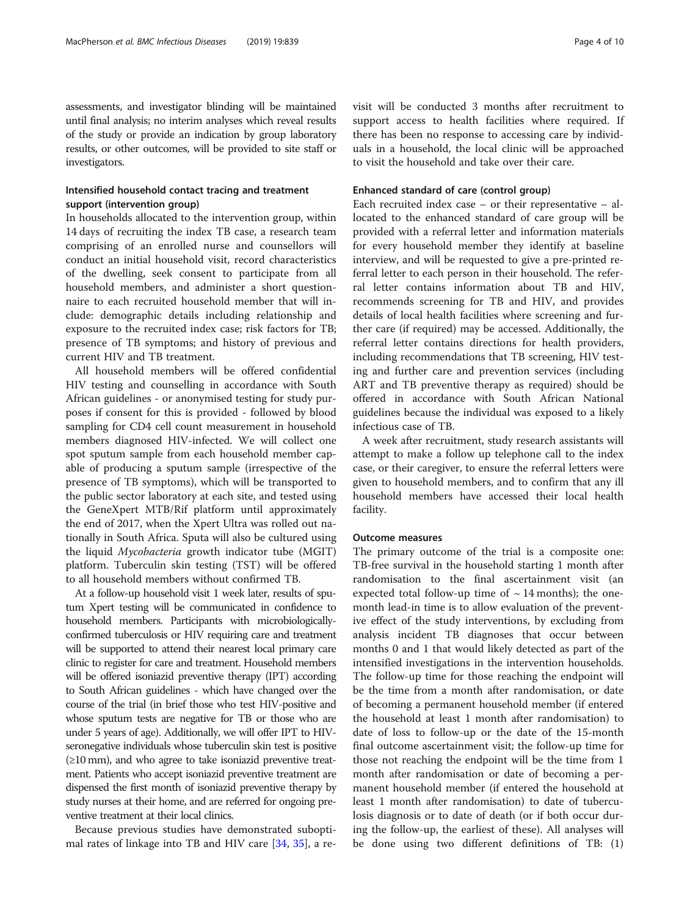assessments, and investigator blinding will be maintained until final analysis; no interim analyses which reveal results of the study or provide an indication by group laboratory results, or other outcomes, will be provided to site staff or investigators.

# Intensified household contact tracing and treatment support (intervention group)

In households allocated to the intervention group, within 14 days of recruiting the index TB case, a research team comprising of an enrolled nurse and counsellors will conduct an initial household visit, record characteristics of the dwelling, seek consent to participate from all household members, and administer a short questionnaire to each recruited household member that will include: demographic details including relationship and exposure to the recruited index case; risk factors for TB; presence of TB symptoms; and history of previous and current HIV and TB treatment.

All household members will be offered confidential HIV testing and counselling in accordance with South African guidelines - or anonymised testing for study purposes if consent for this is provided - followed by blood sampling for CD4 cell count measurement in household members diagnosed HIV-infected. We will collect one spot sputum sample from each household member capable of producing a sputum sample (irrespective of the presence of TB symptoms), which will be transported to the public sector laboratory at each site, and tested using the GeneXpert MTB/Rif platform until approximately the end of 2017, when the Xpert Ultra was rolled out nationally in South Africa. Sputa will also be cultured using the liquid Mycobacteria growth indicator tube (MGIT) platform. Tuberculin skin testing (TST) will be offered to all household members without confirmed TB.

At a follow-up household visit 1 week later, results of sputum Xpert testing will be communicated in confidence to household members. Participants with microbiologicallyconfirmed tuberculosis or HIV requiring care and treatment will be supported to attend their nearest local primary care clinic to register for care and treatment. Household members will be offered isoniazid preventive therapy (IPT) according to South African guidelines - which have changed over the course of the trial (in brief those who test HIV-positive and whose sputum tests are negative for TB or those who are under 5 years of age). Additionally, we will offer IPT to HIVseronegative individuals whose tuberculin skin test is positive  $(\geq 10 \text{ mm})$ , and who agree to take isoniazid preventive treatment. Patients who accept isoniazid preventive treatment are dispensed the first month of isoniazid preventive therapy by study nurses at their home, and are referred for ongoing preventive treatment at their local clinics.

Because previous studies have demonstrated suboptimal rates of linkage into TB and HIV care [[34,](#page-9-0) [35\]](#page-9-0), a revisit will be conducted 3 months after recruitment to support access to health facilities where required. If there has been no response to accessing care by individuals in a household, the local clinic will be approached to visit the household and take over their care.

# Enhanced standard of care (control group)

Each recruited index case – or their representative – allocated to the enhanced standard of care group will be provided with a referral letter and information materials for every household member they identify at baseline interview, and will be requested to give a pre-printed referral letter to each person in their household. The referral letter contains information about TB and HIV, recommends screening for TB and HIV, and provides details of local health facilities where screening and further care (if required) may be accessed. Additionally, the referral letter contains directions for health providers, including recommendations that TB screening, HIV testing and further care and prevention services (including ART and TB preventive therapy as required) should be offered in accordance with South African National guidelines because the individual was exposed to a likely infectious case of TB.

A week after recruitment, study research assistants will attempt to make a follow up telephone call to the index case, or their caregiver, to ensure the referral letters were given to household members, and to confirm that any ill household members have accessed their local health facility.

# Outcome measures

The primary outcome of the trial is a composite one: TB-free survival in the household starting 1 month after randomisation to the final ascertainment visit (an expected total follow-up time of  $\sim$  14 months); the onemonth lead-in time is to allow evaluation of the preventive effect of the study interventions, by excluding from analysis incident TB diagnoses that occur between months 0 and 1 that would likely detected as part of the intensified investigations in the intervention households. The follow-up time for those reaching the endpoint will be the time from a month after randomisation, or date of becoming a permanent household member (if entered the household at least 1 month after randomisation) to date of loss to follow-up or the date of the 15-month final outcome ascertainment visit; the follow-up time for those not reaching the endpoint will be the time from 1 month after randomisation or date of becoming a permanent household member (if entered the household at least 1 month after randomisation) to date of tuberculosis diagnosis or to date of death (or if both occur during the follow-up, the earliest of these). All analyses will be done using two different definitions of TB: (1)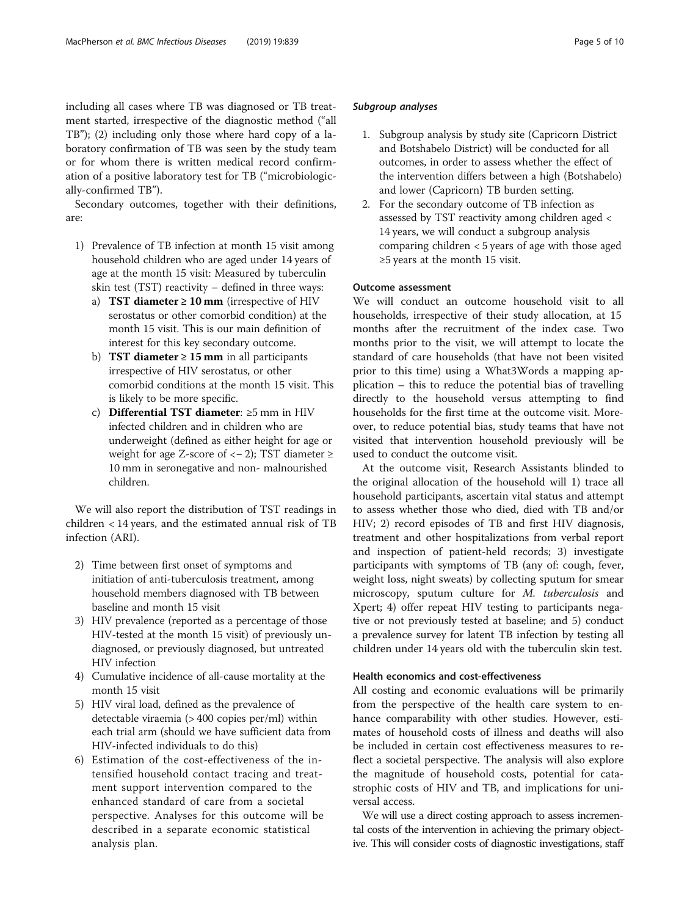including all cases where TB was diagnosed or TB treatment started, irrespective of the diagnostic method ("all TB"); (2) including only those where hard copy of a laboratory confirmation of TB was seen by the study team or for whom there is written medical record confirmation of a positive laboratory test for TB ("microbiologically-confirmed TB").

Secondary outcomes, together with their definitions, are:

- 1) Prevalence of TB infection at month 15 visit among household children who are aged under 14 years of age at the month 15 visit: Measured by tuberculin skin test (TST) reactivity – defined in three ways:
	- a) TST diameter  $\geq 10$  mm (irrespective of HIV serostatus or other comorbid condition) at the month 15 visit. This is our main definition of interest for this key secondary outcome.
	- b) **TST diameter ≥ 15 mm** in all participants irrespective of HIV serostatus, or other comorbid conditions at the month 15 visit. This is likely to be more specific.
	- c) Differential TST diameter: ≥5 mm in HIV infected children and in children who are underweight (defined as either height for age or weight for age Z-score of  $<-2$ ); TST diameter  $\ge$ 10 mm in seronegative and non- malnourished children.

We will also report the distribution of TST readings in children < 14 years, and the estimated annual risk of TB infection (ARI).

- 2) Time between first onset of symptoms and initiation of anti-tuberculosis treatment, among household members diagnosed with TB between baseline and month 15 visit
- 3) HIV prevalence (reported as a percentage of those HIV-tested at the month 15 visit) of previously undiagnosed, or previously diagnosed, but untreated HIV infection
- 4) Cumulative incidence of all-cause mortality at the month 15 visit
- 5) HIV viral load, defined as the prevalence of detectable viraemia (> 400 copies per/ml) within each trial arm (should we have sufficient data from HIV-infected individuals to do this)
- 6) Estimation of the cost-effectiveness of the intensified household contact tracing and treatment support intervention compared to the enhanced standard of care from a societal perspective. Analyses for this outcome will be described in a separate economic statistical analysis plan.

# Subgroup analyses

- 1. Subgroup analysis by study site (Capricorn District and Botshabelo District) will be conducted for all outcomes, in order to assess whether the effect of the intervention differs between a high (Botshabelo) and lower (Capricorn) TB burden setting.
- 2. For the secondary outcome of TB infection as assessed by TST reactivity among children aged < 14 years, we will conduct a subgroup analysis comparing children < 5 years of age with those aged ≥5 years at the month 15 visit.

# Outcome assessment

We will conduct an outcome household visit to all households, irrespective of their study allocation, at 15 months after the recruitment of the index case. Two months prior to the visit, we will attempt to locate the standard of care households (that have not been visited prior to this time) using a What3Words a mapping application – this to reduce the potential bias of travelling directly to the household versus attempting to find households for the first time at the outcome visit. Moreover, to reduce potential bias, study teams that have not visited that intervention household previously will be used to conduct the outcome visit.

At the outcome visit, Research Assistants blinded to the original allocation of the household will 1) trace all household participants, ascertain vital status and attempt to assess whether those who died, died with TB and/or HIV; 2) record episodes of TB and first HIV diagnosis, treatment and other hospitalizations from verbal report and inspection of patient-held records; 3) investigate participants with symptoms of TB (any of: cough, fever, weight loss, night sweats) by collecting sputum for smear microscopy, sputum culture for M. tuberculosis and Xpert; 4) offer repeat HIV testing to participants negative or not previously tested at baseline; and 5) conduct a prevalence survey for latent TB infection by testing all children under 14 years old with the tuberculin skin test.

# Health economics and cost-effectiveness

All costing and economic evaluations will be primarily from the perspective of the health care system to enhance comparability with other studies. However, estimates of household costs of illness and deaths will also be included in certain cost effectiveness measures to reflect a societal perspective. The analysis will also explore the magnitude of household costs, potential for catastrophic costs of HIV and TB, and implications for universal access.

We will use a direct costing approach to assess incremental costs of the intervention in achieving the primary objective. This will consider costs of diagnostic investigations, staff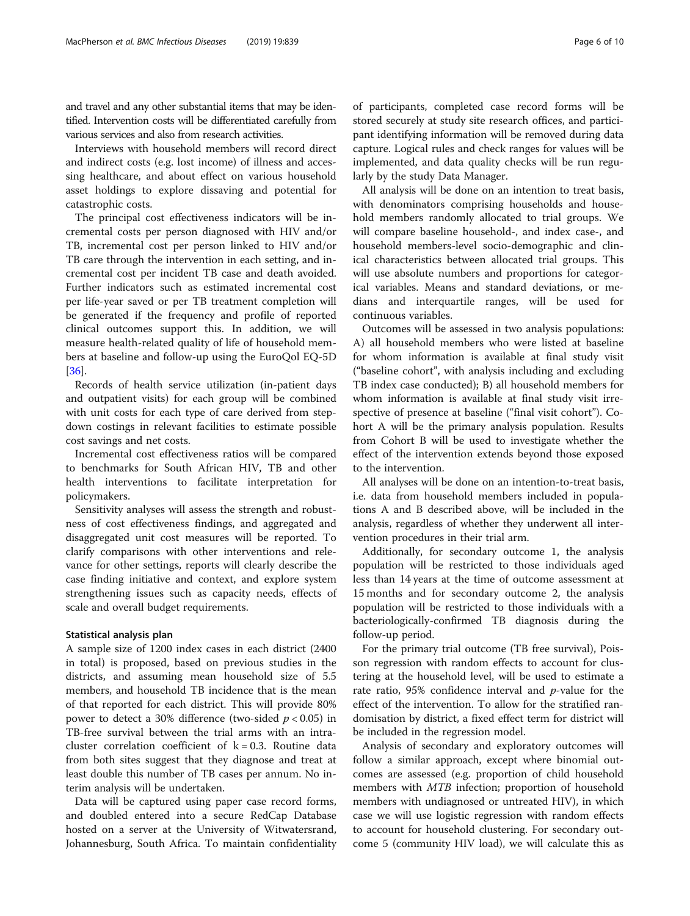and travel and any other substantial items that may be identified. Intervention costs will be differentiated carefully from various services and also from research activities.

Interviews with household members will record direct and indirect costs (e.g. lost income) of illness and accessing healthcare, and about effect on various household asset holdings to explore dissaving and potential for catastrophic costs.

The principal cost effectiveness indicators will be incremental costs per person diagnosed with HIV and/or TB, incremental cost per person linked to HIV and/or TB care through the intervention in each setting, and incremental cost per incident TB case and death avoided. Further indicators such as estimated incremental cost per life-year saved or per TB treatment completion will be generated if the frequency and profile of reported clinical outcomes support this. In addition, we will measure health-related quality of life of household members at baseline and follow-up using the EuroQol EQ-5D [[36\]](#page-9-0).

Records of health service utilization (in-patient days and outpatient visits) for each group will be combined with unit costs for each type of care derived from stepdown costings in relevant facilities to estimate possible cost savings and net costs.

Incremental cost effectiveness ratios will be compared to benchmarks for South African HIV, TB and other health interventions to facilitate interpretation for policymakers.

Sensitivity analyses will assess the strength and robustness of cost effectiveness findings, and aggregated and disaggregated unit cost measures will be reported. To clarify comparisons with other interventions and relevance for other settings, reports will clearly describe the case finding initiative and context, and explore system strengthening issues such as capacity needs, effects of scale and overall budget requirements.

## Statistical analysis plan

A sample size of 1200 index cases in each district (2400 in total) is proposed, based on previous studies in the districts, and assuming mean household size of 5.5 members, and household TB incidence that is the mean of that reported for each district. This will provide 80% power to detect a 30% difference (two-sided  $p < 0.05$ ) in TB-free survival between the trial arms with an intracluster correlation coefficient of  $k = 0.3$ . Routine data from both sites suggest that they diagnose and treat at least double this number of TB cases per annum. No interim analysis will be undertaken.

Data will be captured using paper case record forms, and doubled entered into a secure RedCap Database hosted on a server at the University of Witwatersrand, Johannesburg, South Africa. To maintain confidentiality

of participants, completed case record forms will be stored securely at study site research offices, and participant identifying information will be removed during data capture. Logical rules and check ranges for values will be implemented, and data quality checks will be run regularly by the study Data Manager.

All analysis will be done on an intention to treat basis, with denominators comprising households and household members randomly allocated to trial groups. We will compare baseline household-, and index case-, and household members-level socio-demographic and clinical characteristics between allocated trial groups. This will use absolute numbers and proportions for categorical variables. Means and standard deviations, or medians and interquartile ranges, will be used for continuous variables.

Outcomes will be assessed in two analysis populations: A) all household members who were listed at baseline for whom information is available at final study visit ("baseline cohort", with analysis including and excluding TB index case conducted); B) all household members for whom information is available at final study visit irrespective of presence at baseline ("final visit cohort"). Cohort A will be the primary analysis population. Results from Cohort B will be used to investigate whether the effect of the intervention extends beyond those exposed to the intervention.

All analyses will be done on an intention-to-treat basis, i.e. data from household members included in populations A and B described above, will be included in the analysis, regardless of whether they underwent all intervention procedures in their trial arm.

Additionally, for secondary outcome 1, the analysis population will be restricted to those individuals aged less than 14 years at the time of outcome assessment at 15 months and for secondary outcome 2, the analysis population will be restricted to those individuals with a bacteriologically-confirmed TB diagnosis during the follow-up period.

For the primary trial outcome (TB free survival), Poisson regression with random effects to account for clustering at the household level, will be used to estimate a rate ratio,  $95\%$  confidence interval and *p*-value for the effect of the intervention. To allow for the stratified randomisation by district, a fixed effect term for district will be included in the regression model.

Analysis of secondary and exploratory outcomes will follow a similar approach, except where binomial outcomes are assessed (e.g. proportion of child household members with MTB infection; proportion of household members with undiagnosed or untreated HIV), in which case we will use logistic regression with random effects to account for household clustering. For secondary outcome 5 (community HIV load), we will calculate this as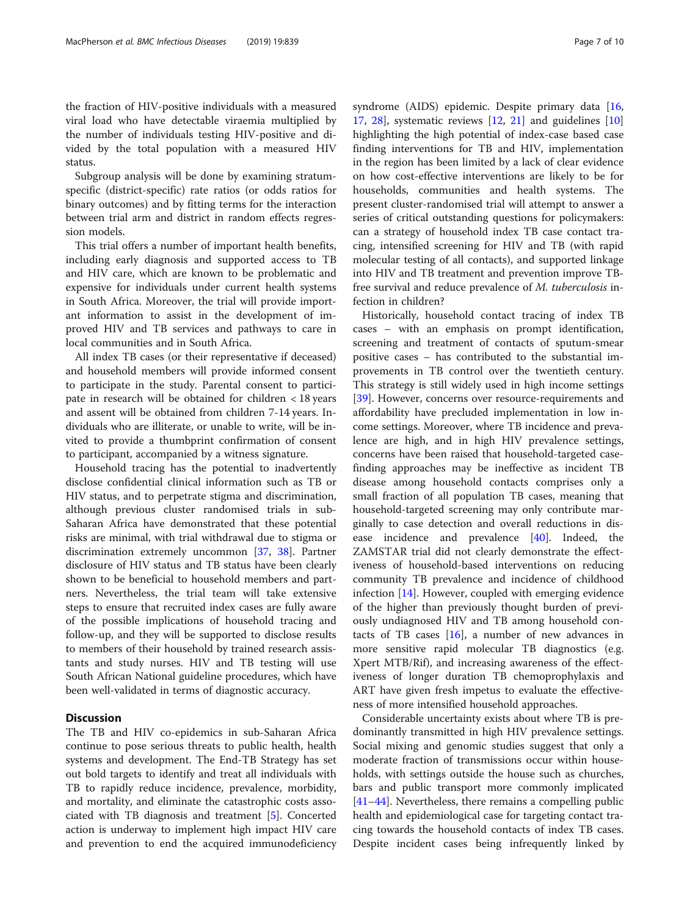the fraction of HIV-positive individuals with a measured viral load who have detectable viraemia multiplied by the number of individuals testing HIV-positive and divided by the total population with a measured HIV status.

Subgroup analysis will be done by examining stratumspecific (district-specific) rate ratios (or odds ratios for binary outcomes) and by fitting terms for the interaction between trial arm and district in random effects regression models.

This trial offers a number of important health benefits, including early diagnosis and supported access to TB and HIV care, which are known to be problematic and expensive for individuals under current health systems in South Africa. Moreover, the trial will provide important information to assist in the development of improved HIV and TB services and pathways to care in local communities and in South Africa.

All index TB cases (or their representative if deceased) and household members will provide informed consent to participate in the study. Parental consent to participate in research will be obtained for children < 18 years and assent will be obtained from children 7-14 years. Individuals who are illiterate, or unable to write, will be invited to provide a thumbprint confirmation of consent to participant, accompanied by a witness signature.

Household tracing has the potential to inadvertently disclose confidential clinical information such as TB or HIV status, and to perpetrate stigma and discrimination, although previous cluster randomised trials in sub-Saharan Africa have demonstrated that these potential risks are minimal, with trial withdrawal due to stigma or discrimination extremely uncommon [\[37](#page-9-0), [38\]](#page-9-0). Partner disclosure of HIV status and TB status have been clearly shown to be beneficial to household members and partners. Nevertheless, the trial team will take extensive steps to ensure that recruited index cases are fully aware of the possible implications of household tracing and follow-up, and they will be supported to disclose results to members of their household by trained research assistants and study nurses. HIV and TB testing will use South African National guideline procedures, which have been well-validated in terms of diagnostic accuracy.

# **Discussion**

The TB and HIV co-epidemics in sub-Saharan Africa continue to pose serious threats to public health, health systems and development. The End-TB Strategy has set out bold targets to identify and treat all individuals with TB to rapidly reduce incidence, prevalence, morbidity, and mortality, and eliminate the catastrophic costs associated with TB diagnosis and treatment [\[5](#page-8-0)]. Concerted action is underway to implement high impact HIV care and prevention to end the acquired immunodeficiency syndrome (AIDS) epidemic. Despite primary data [[16](#page-8-0), [17,](#page-8-0) [28\]](#page-8-0), systematic reviews [\[12](#page-8-0), [21](#page-8-0)] and guidelines [[10](#page-8-0)] highlighting the high potential of index-case based case finding interventions for TB and HIV, implementation in the region has been limited by a lack of clear evidence on how cost-effective interventions are likely to be for households, communities and health systems. The present cluster-randomised trial will attempt to answer a series of critical outstanding questions for policymakers: can a strategy of household index TB case contact tracing, intensified screening for HIV and TB (with rapid molecular testing of all contacts), and supported linkage into HIV and TB treatment and prevention improve TBfree survival and reduce prevalence of M. tuberculosis infection in children?

Historically, household contact tracing of index TB cases – with an emphasis on prompt identification, screening and treatment of contacts of sputum-smear positive cases – has contributed to the substantial improvements in TB control over the twentieth century. This strategy is still widely used in high income settings [[39\]](#page-9-0). However, concerns over resource-requirements and affordability have precluded implementation in low income settings. Moreover, where TB incidence and prevalence are high, and in high HIV prevalence settings, concerns have been raised that household-targeted casefinding approaches may be ineffective as incident TB disease among household contacts comprises only a small fraction of all population TB cases, meaning that household-targeted screening may only contribute marginally to case detection and overall reductions in disease incidence and prevalence [\[40\]](#page-9-0). Indeed, the ZAMSTAR trial did not clearly demonstrate the effectiveness of household-based interventions on reducing community TB prevalence and incidence of childhood infection [[14\]](#page-8-0). However, coupled with emerging evidence of the higher than previously thought burden of previously undiagnosed HIV and TB among household contacts of TB cases  $[16]$  $[16]$ , a number of new advances in more sensitive rapid molecular TB diagnostics (e.g. Xpert MTB/Rif), and increasing awareness of the effectiveness of longer duration TB chemoprophylaxis and ART have given fresh impetus to evaluate the effectiveness of more intensified household approaches.

Considerable uncertainty exists about where TB is predominantly transmitted in high HIV prevalence settings. Social mixing and genomic studies suggest that only a moderate fraction of transmissions occur within households, with settings outside the house such as churches, bars and public transport more commonly implicated [[41](#page-9-0)–[44](#page-9-0)]. Nevertheless, there remains a compelling public health and epidemiological case for targeting contact tracing towards the household contacts of index TB cases. Despite incident cases being infrequently linked by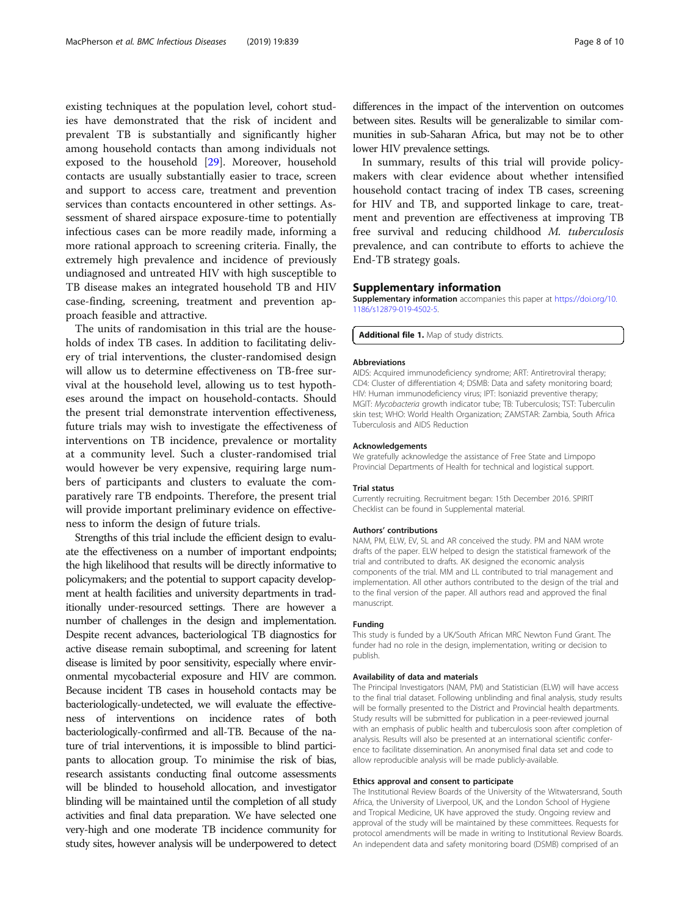<span id="page-7-0"></span>existing techniques at the population level, cohort studies have demonstrated that the risk of incident and prevalent TB is substantially and significantly higher among household contacts than among individuals not exposed to the household [\[29](#page-8-0)]. Moreover, household contacts are usually substantially easier to trace, screen and support to access care, treatment and prevention services than contacts encountered in other settings. Assessment of shared airspace exposure-time to potentially infectious cases can be more readily made, informing a more rational approach to screening criteria. Finally, the extremely high prevalence and incidence of previously undiagnosed and untreated HIV with high susceptible to TB disease makes an integrated household TB and HIV case-finding, screening, treatment and prevention approach feasible and attractive.

The units of randomisation in this trial are the households of index TB cases. In addition to facilitating delivery of trial interventions, the cluster-randomised design will allow us to determine effectiveness on TB-free survival at the household level, allowing us to test hypotheses around the impact on household-contacts. Should the present trial demonstrate intervention effectiveness, future trials may wish to investigate the effectiveness of interventions on TB incidence, prevalence or mortality at a community level. Such a cluster-randomised trial would however be very expensive, requiring large numbers of participants and clusters to evaluate the comparatively rare TB endpoints. Therefore, the present trial will provide important preliminary evidence on effectiveness to inform the design of future trials.

Strengths of this trial include the efficient design to evaluate the effectiveness on a number of important endpoints; the high likelihood that results will be directly informative to policymakers; and the potential to support capacity development at health facilities and university departments in traditionally under-resourced settings. There are however a number of challenges in the design and implementation. Despite recent advances, bacteriological TB diagnostics for active disease remain suboptimal, and screening for latent disease is limited by poor sensitivity, especially where environmental mycobacterial exposure and HIV are common. Because incident TB cases in household contacts may be bacteriologically-undetected, we will evaluate the effectiveness of interventions on incidence rates of both bacteriologically-confirmed and all-TB. Because of the nature of trial interventions, it is impossible to blind participants to allocation group. To minimise the risk of bias, research assistants conducting final outcome assessments will be blinded to household allocation, and investigator blinding will be maintained until the completion of all study activities and final data preparation. We have selected one very-high and one moderate TB incidence community for study sites, however analysis will be underpowered to detect

differences in the impact of the intervention on outcomes between sites. Results will be generalizable to similar communities in sub-Saharan Africa, but may not be to other lower HIV prevalence settings.

In summary, results of this trial will provide policymakers with clear evidence about whether intensified household contact tracing of index TB cases, screening for HIV and TB, and supported linkage to care, treatment and prevention are effectiveness at improving TB free survival and reducing childhood M. tuberculosis prevalence, and can contribute to efforts to achieve the End-TB strategy goals.

#### Supplementary information

Supplementary information accompanies this paper at [https://doi.org/10.](https://doi.org/10.1186/s12879-019-4502-5) [1186/s12879-019-4502-5.](https://doi.org/10.1186/s12879-019-4502-5)

Additional file 1. Map of study districts.

#### Abbreviations

AIDS: Acquired immunodeficiency syndrome; ART: Antiretroviral therapy; CD4: Cluster of differentiation 4; DSMB: Data and safety monitoring board; HIV: Human immunodeficiency virus; IPT: Isoniazid preventive therapy; MGIT: Mycobacteria growth indicator tube; TB: Tuberculosis; TST: Tuberculin skin test; WHO: World Health Organization; ZAMSTAR: Zambia, South Africa Tuberculosis and AIDS Reduction

#### Acknowledgements

We gratefully acknowledge the assistance of Free State and Limpopo Provincial Departments of Health for technical and logistical support.

#### Trial status

Currently recruiting. Recruitment began: 15th December 2016. SPIRIT Checklist can be found in Supplemental material.

#### Authors' contributions

NAM, PM, ELW, EV, SL and AR conceived the study. PM and NAM wrote drafts of the paper. ELW helped to design the statistical framework of the trial and contributed to drafts. AK designed the economic analysis components of the trial. MM and LL contributed to trial management and implementation. All other authors contributed to the design of the trial and to the final version of the paper. All authors read and approved the final manuscript.

#### Funding

This study is funded by a UK/South African MRC Newton Fund Grant. The funder had no role in the design, implementation, writing or decision to publish.

#### Availability of data and materials

The Principal Investigators (NAM, PM) and Statistician (ELW) will have access to the final trial dataset. Following unblinding and final analysis, study results will be formally presented to the District and Provincial health departments. Study results will be submitted for publication in a peer-reviewed journal with an emphasis of public health and tuberculosis soon after completion of analysis. Results will also be presented at an international scientific conference to facilitate dissemination. An anonymised final data set and code to allow reproducible analysis will be made publicly-available.

#### Ethics approval and consent to participate

The Institutional Review Boards of the University of the Witwatersrand, South Africa, the University of Liverpool, UK, and the London School of Hygiene and Tropical Medicine, UK have approved the study. Ongoing review and approval of the study will be maintained by these committees. Requests for protocol amendments will be made in writing to Institutional Review Boards. An independent data and safety monitoring board (DSMB) comprised of an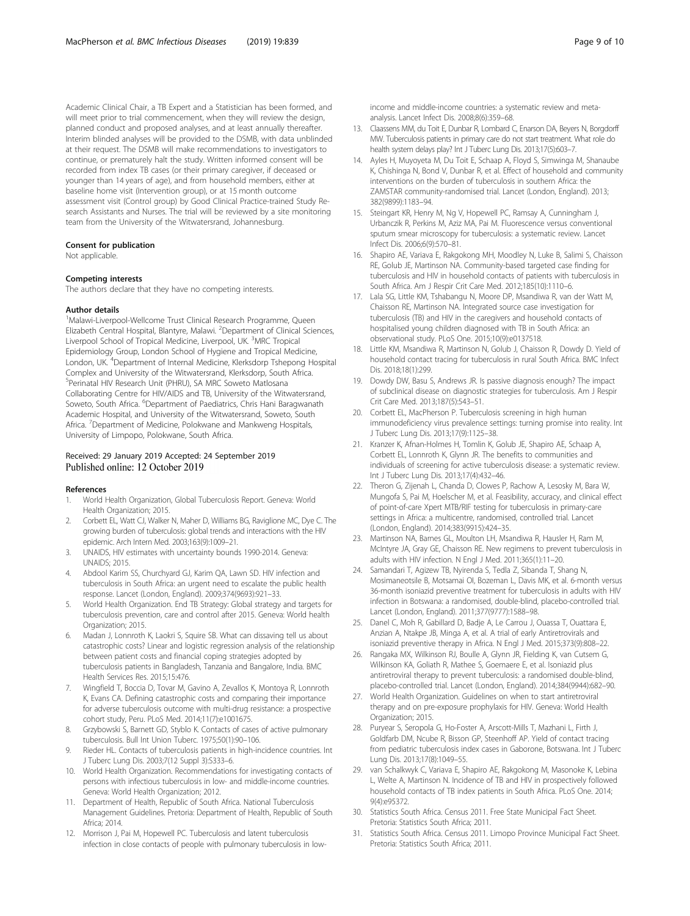<span id="page-8-0"></span>Academic Clinical Chair, a TB Expert and a Statistician has been formed, and will meet prior to trial commencement, when they will review the design, planned conduct and proposed analyses, and at least annually thereafter. Interim blinded analyses will be provided to the DSMB, with data unblinded at their request. The DSMB will make recommendations to investigators to continue, or prematurely halt the study. Written informed consent will be recorded from index TB cases (or their primary caregiver, if deceased or younger than 14 years of age), and from household members, either at baseline home visit (Intervention group), or at 15 month outcome assessment visit (Control group) by Good Clinical Practice-trained Study Research Assistants and Nurses. The trial will be reviewed by a site monitoring team from the University of the Witwatersrand, Johannesburg.

#### Consent for publication

Not applicable.

#### Competing interests

The authors declare that they have no competing interests.

#### Author details

<sup>1</sup>Malawi-Liverpool-Wellcome Trust Clinical Research Programme, Queen Elizabeth Central Hospital, Blantyre, Malawi. <sup>2</sup>Department of Clinical Sciences, Liverpool School of Tropical Medicine, Liverpool, UK. <sup>3</sup>MRC Tropical Epidemiology Group, London School of Hygiene and Tropical Medicine, London, UK. <sup>4</sup>Department of Internal Medicine, Klerksdorp Tshepong Hospital Complex and University of the Witwatersrand, Klerksdorp, South Africa. 5 Perinatal HIV Research Unit (PHRU), SA MRC Soweto Matlosana Collaborating Centre for HIV/AIDS and TB, University of the Witwatersrand, Soweto, South Africa. <sup>6</sup>Department of Paediatrics, Chris Hani Baragwanath Academic Hospital, and University of the Witwatersrand, Soweto, South Africa. <sup>7</sup> Department of Medicine, Polokwane and Mankweng Hospitals, University of Limpopo, Polokwane, South Africa.

# Received: 29 January 2019 Accepted: 24 September 2019

#### References

- 1. World Health Organization, Global Tuberculosis Report. Geneva: World Health Organization; 2015.
- 2. Corbett EL, Watt CJ, Walker N, Maher D, Williams BG, Raviglione MC, Dye C. The growing burden of tuberculosis: global trends and interactions with the HIV epidemic. Arch Intern Med. 2003;163(9):1009–21.
- 3. UNAIDS, HIV estimates with uncertainty bounds 1990-2014. Geneva: UNAIDS; 2015.
- 4. Abdool Karim SS, Churchyard GJ, Karim QA, Lawn SD. HIV infection and tuberculosis in South Africa: an urgent need to escalate the public health response. Lancet (London, England). 2009;374(9693):921–33.
- 5. World Health Organization. End TB Strategy: Global strategy and targets for tuberculosis prevention, care and control after 2015. Geneva: World health Organization; 2015.
- 6. Madan J, Lonnroth K, Laokri S, Squire SB. What can dissaving tell us about catastrophic costs? Linear and logistic regression analysis of the relationship between patient costs and financial coping strategies adopted by tuberculosis patients in Bangladesh, Tanzania and Bangalore, India. BMC Health Services Res. 2015;15:476.
- 7. Wingfield T, Boccia D, Tovar M, Gavino A, Zevallos K, Montoya R, Lonnroth K, Evans CA. Defining catastrophic costs and comparing their importance for adverse tuberculosis outcome with multi-drug resistance: a prospective cohort study, Peru. PLoS Med. 2014;11(7):e1001675.
- Grzybowski S, Barnett GD, Styblo K. Contacts of cases of active pulmonary tuberculosis. Bull Int Union Tuberc. 1975;50(1):90–106.
- Rieder HL. Contacts of tuberculosis patients in high-incidence countries. Int J Tuberc Lung Dis. 2003;7(12 Suppl 3):S333–6.
- 10. World Health Organization. Recommendations for investigating contacts of persons with infectious tuberculosis in low- and middle-income countries. Geneva: World Health Organization; 2012.
- 11. Department of Health, Republic of South Africa. National Tuberculosis Management Guidelines. Pretoria: Department of Health, Republic of South Africa; 2014.
- 12. Morrison J, Pai M, Hopewell PC. Tuberculosis and latent tuberculosis infection in close contacts of people with pulmonary tuberculosis in low-

income and middle-income countries: a systematic review and metaanalysis. Lancet Infect Dis. 2008;8(6):359–68.

- 13. Claassens MM, du Toit E, Dunbar R, Lombard C, Enarson DA, Beyers N, Borgdorff MW. Tuberculosis patients in primary care do not start treatment. What role do health system delays play? Int J Tuberc Lung Dis. 2013;17(5):603–7.
- 14. Ayles H, Muyoyeta M, Du Toit E, Schaap A, Floyd S, Simwinga M, Shanaube K, Chishinga N, Bond V, Dunbar R, et al. Effect of household and community interventions on the burden of tuberculosis in southern Africa: the ZAMSTAR community-randomised trial. Lancet (London, England). 2013; 382(9899):1183–94.
- 15. Steingart KR, Henry M, Ng V, Hopewell PC, Ramsay A, Cunningham J, Urbanczik R, Perkins M, Aziz MA, Pai M. Fluorescence versus conventional sputum smear microscopy for tuberculosis: a systematic review. Lancet Infect Dis. 2006;6(9):570–81.
- 16. Shapiro AE, Variava E, Rakgokong MH, Moodley N, Luke B, Salimi S, Chaisson RE, Golub JE, Martinson NA. Community-based targeted case finding for tuberculosis and HIV in household contacts of patients with tuberculosis in South Africa. Am J Respir Crit Care Med. 2012;185(10):1110–6.
- 17. Lala SG, Little KM, Tshabangu N, Moore DP, Msandiwa R, van der Watt M, Chaisson RE, Martinson NA. Integrated source case investigation for tuberculosis (TB) and HIV in the caregivers and household contacts of hospitalised young children diagnosed with TB in South Africa: an observational study. PLoS One. 2015;10(9):e0137518.
- 18. Little KM, Msandiwa R, Martinson N, Golub J, Chaisson R, Dowdy D. Yield of household contact tracing for tuberculosis in rural South Africa. BMC Infect Dis. 2018;18(1):299.
- 19. Dowdy DW, Basu S, Andrews JR. Is passive diagnosis enough? The impact of subclinical disease on diagnostic strategies for tuberculosis. Am J Respir Crit Care Med. 2013;187(5):543–51.
- 20. Corbett EL, MacPherson P. Tuberculosis screening in high human immunodeficiency virus prevalence settings: turning promise into reality. Int J Tuberc Lung Dis. 2013;17(9):1125–38.
- 21. Kranzer K, Afnan-Holmes H, Tomlin K, Golub JE, Shapiro AE, Schaap A, Corbett EL, Lonnroth K, Glynn JR. The benefits to communities and individuals of screening for active tuberculosis disease: a systematic review. Int J Tuberc Lung Dis. 2013;17(4):432–46.
- 22. Theron G, Zijenah L, Chanda D, Clowes P, Rachow A, Lesosky M, Bara W, Mungofa S, Pai M, Hoelscher M, et al. Feasibility, accuracy, and clinical effect of point-of-care Xpert MTB/RIF testing for tuberculosis in primary-care settings in Africa: a multicentre, randomised, controlled trial. Lancet (London, England). 2014;383(9915):424–35.
- 23. Martinson NA, Barnes GL, Moulton LH, Msandiwa R, Hausler H, Ram M, McIntyre JA, Gray GE, Chaisson RE. New regimens to prevent tuberculosis in adults with HIV infection. N Engl J Med. 2011;365(1):11–20.
- 24. Samandari T, Agizew TB, Nyirenda S, Tedla Z, Sibanda T, Shang N, Mosimaneotsile B, Motsamai OI, Bozeman L, Davis MK, et al. 6-month versus 36-month isoniazid preventive treatment for tuberculosis in adults with HIV infection in Botswana: a randomised, double-blind, placebo-controlled trial. Lancet (London, England). 2011;377(9777):1588–98.
- 25. Danel C, Moh R, Gabillard D, Badje A, Le Carrou J, Ouassa T, Ouattara E, Anzian A, Ntakpe JB, Minga A, et al. A trial of early Antiretrovirals and isoniazid preventive therapy in Africa. N Engl J Med. 2015;373(9):808–22.
- 26. Rangaka MX, Wilkinson RJ, Boulle A, Glynn JR, Fielding K, van Cutsem G, Wilkinson KA, Goliath R, Mathee S, Goemaere E, et al. Isoniazid plus antiretroviral therapy to prevent tuberculosis: a randomised double-blind, placebo-controlled trial. Lancet (London, England). 2014;384(9944):682–90.
- 27. World Health Organization. Guidelines on when to start antiretroviral therapy and on pre-exposure prophylaxis for HIV. Geneva: World Health Organization; 2015.
- 28. Puryear S, Seropola G, Ho-Foster A, Arscott-Mills T, Mazhani L, Firth J, Goldfarb DM, Ncube R, Bisson GP, Steenhoff AP. Yield of contact tracing from pediatric tuberculosis index cases in Gaborone, Botswana. Int J Tuberc Lung Dis. 2013;17(8):1049–55.
- 29. van Schalkwyk C, Variava E, Shapiro AE, Rakgokong M, Masonoke K, Lebina L, Welte A, Martinson N. Incidence of TB and HIV in prospectively followed household contacts of TB index patients in South Africa. PLoS One. 2014; 9(4):e95372.
- 30. Statistics South Africa. Census 2011. Free State Municipal Fact Sheet. Pretoria: Statistics South Africa; 2011.
- 31. Statistics South Africa. Census 2011. Limopo Province Municipal Fact Sheet. Pretoria: Statistics South Africa; 2011.